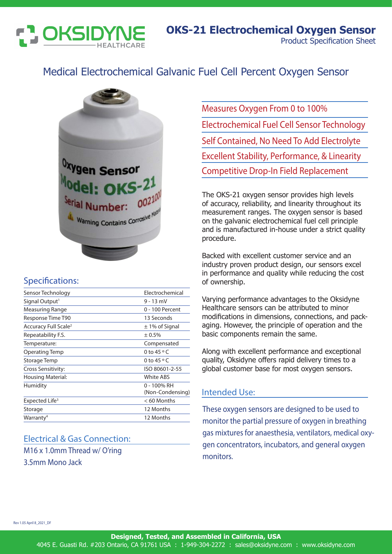

# Medical Electrochemical Galvanic Fuel Cell Percent Oxygen Sensor



### Specifications:

| Sensor Technology                | Electrochemical                 |
|----------------------------------|---------------------------------|
| Signal Output <sup>1</sup>       | $9 - 13$ mV                     |
| Measuring Range                  | 0 - 100 Percent                 |
| Response Time T90                | 13 Seconds                      |
| Accuracy Full Scale <sup>2</sup> | $\pm$ 1% of Signal              |
| Repeatability F.S.               | ± 0.5%                          |
| Temperature:                     | Compensated                     |
| Operating Temp                   | 0 to 45 $\circ$ C               |
| Storage Temp                     | 0 to $45^{\circ}$ C             |
| Cross Sensitivity:               | ISO 80601-2-55                  |
| Housing Material:                | <b>White ABS</b>                |
| Humidity                         | 0 - 100% RH<br>(Non-Condensing) |
| Expected Life <sup>3</sup>       | $< 60$ Months                   |
| Storage                          | 12 Months                       |
| Warranty <sup>4</sup>            | 12 Months                       |

# Electrical & Gas Connection: M16 x 1.0mm Thread w/ O'ring 3.5mm Mono Jack

Measures Oxygen From 0 to 100% Electrochemical Fuel Cell Sensor Technology Self Contained, No Need To Add Electrolyte Excellent Stability, Performance, & Linearity Competitive Drop-In Field Replacement

The OKS-21 oxygen sensor provides high levels of accuracy, reliability, and linearity throughout its measurement ranges. The oxygen sensor is based on the galvanic electrochemical fuel cell principle and is manufactured in-house under a strict quality procedure.

Backed with excellent customer service and an industry proven product design, our sensors excel in performance and quality while reducing the cost of ownership.

Varying performance advantages to the Oksidyne Healthcare sensors can be attributed to minor modifications in dimensions, connections, and packaging. However, the principle of operation and the basic components remain the same.

Along with excellent performance and exceptional quality, Oksidyne offers rapid delivery times to a global customer base for most oxygen sensors.

#### Intended Use:

These oxygen sensors are designed to be used to monitor the partial pressure of oxygen in breathing gas mixtures for anaesthesia, ventilators, medical oxygen concentrators, incubators, and general oxygen monitors.

Rev 1.05 April 8\_2021\_DF